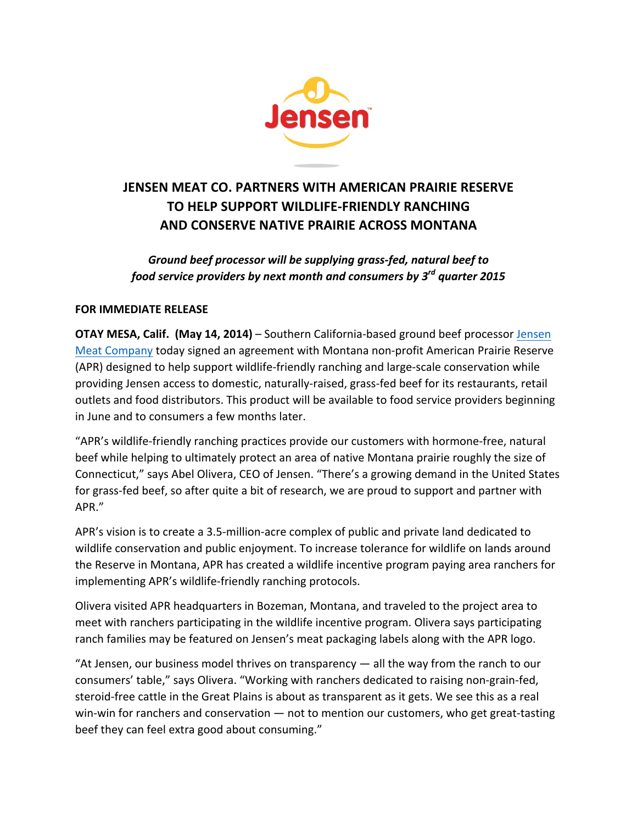

# **JENSEN MEAT CO. PARTNERS WITH AMERICAN PRAIRIE RESERVE TO HELP SUPPORT WILDLIFE-FRIENDLY RANCHING AND CONSERVE NATIVE PRAIRIE ACROSS MONTANA**

Ground beef processor will be supplying grass-fed, natural beef to *food service providers by next month and consumers by 3<sup>rd</sup> quarter 2015* 

## **FOR IMMEDIATE RELEASE**

**OTAY MESA, Calif. (May 14, 2014)** – Southern California-based ground beef processor Jensen Meat Company today signed an agreement with Montana non-profit American Prairie Reserve (APR) designed to help support wildlife-friendly ranching and large-scale conservation while providing Jensen access to domestic, naturally-raised, grass-fed beef for its restaurants, retail outlets and food distributors. This product will be available to food service providers beginning in June and to consumers a few months later.

"APR's wildlife-friendly ranching practices provide our customers with hormone-free, natural beef while helping to ultimately protect an area of native Montana prairie roughly the size of Connecticut," says Abel Olivera, CEO of Jensen. "There's a growing demand in the United States for grass-fed beef, so after quite a bit of research, we are proud to support and partner with APR." 

APR's vision is to create a 3.5-million-acre complex of public and private land dedicated to wildlife conservation and public enjoyment. To increase tolerance for wildlife on lands around the Reserve in Montana, APR has created a wildlife incentive program paying area ranchers for implementing APR's wildlife-friendly ranching protocols.

Olivera visited APR headquarters in Bozeman, Montana, and traveled to the project area to meet with ranchers participating in the wildlife incentive program. Olivera says participating ranch families may be featured on Jensen's meat packaging labels along with the APR logo.

"At Jensen, our business model thrives on transparency  $-$  all the way from the ranch to our consumers' table," says Olivera. "Working with ranchers dedicated to raising non-grain-fed, steroid-free cattle in the Great Plains is about as transparent as it gets. We see this as a real win-win for ranchers and conservation  $-$  not to mention our customers, who get great-tasting beef they can feel extra good about consuming."